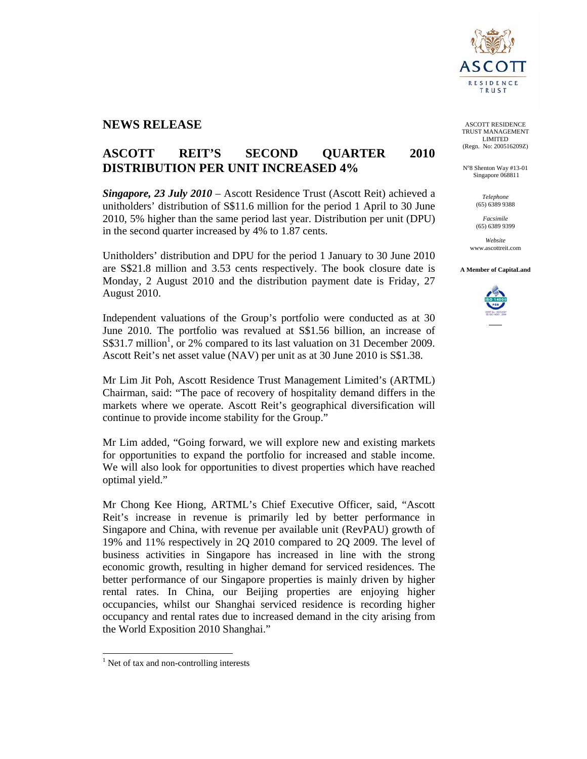

## **NEWS RELEASE**

# **ASCOTT REIT'S SECOND QUARTER 2010 DISTRIBUTION PER UNIT INCREASED 4%**

*Singapore, 23 July 2010* – Ascott Residence Trust (Ascott Reit) achieved a unitholders' distribution of S\$11.6 million for the period 1 April to 30 June 2010, 5% higher than the same period last year. Distribution per unit (DPU) in the second quarter increased by 4% to 1.87 cents.

Unitholders' distribution and DPU for the period 1 January to 30 June 2010 are S\$21.8 million and 3.53 cents respectively. The book closure date is Monday, 2 August 2010 and the distribution payment date is Friday, 27 August 2010.

Independent valuations of the Group's portfolio were conducted as at 30 June 2010. The portfolio was revalued at S\$1.56 billion, an increase of  $S$31.7 million<sup>1</sup>, or 2% compared to its last valuation on 31 December 2009.$ Ascott Reit's net asset value (NAV) per unit as at 30 June 2010 is S\$1.38.

Mr Lim Jit Poh, Ascott Residence Trust Management Limited's (ARTML) Chairman, said: "The pace of recovery of hospitality demand differs in the markets where we operate. Ascott Reit's geographical diversification will continue to provide income stability for the Group."

Mr Lim added, "Going forward, we will explore new and existing markets for opportunities to expand the portfolio for increased and stable income. We will also look for opportunities to divest properties which have reached optimal yield."

Mr Chong Kee Hiong, ARTML's Chief Executive Officer, said, "Ascott Reit's increase in revenue is primarily led by better performance in Singapore and China, with revenue per available unit (RevPAU) growth of 19% and 11% respectively in 2Q 2010 compared to 2Q 2009. The level of business activities in Singapore has increased in line with the strong economic growth, resulting in higher demand for serviced residences. The better performance of our Singapore properties is mainly driven by higher rental rates. In China, our Beijing properties are enjoying higher occupancies, whilst our Shanghai serviced residence is recording higher occupancy and rental rates due to increased demand in the city arising from the World Exposition 2010 Shanghai."

l

ASCOTT RESIDENCE TRUST MANAGEMENT LIMITED (Regn. No: 200516209Z)

N°8 Shenton Way #13-01 Singapore 068811

> *Telephone*  (65) 6389 9388

*Facsimile*  (65) 6389 9399

*Website*  www.ascottreit.com

**A Member of CapitaLand** 



<sup>&</sup>lt;sup>1</sup> Net of tax and non-controlling interests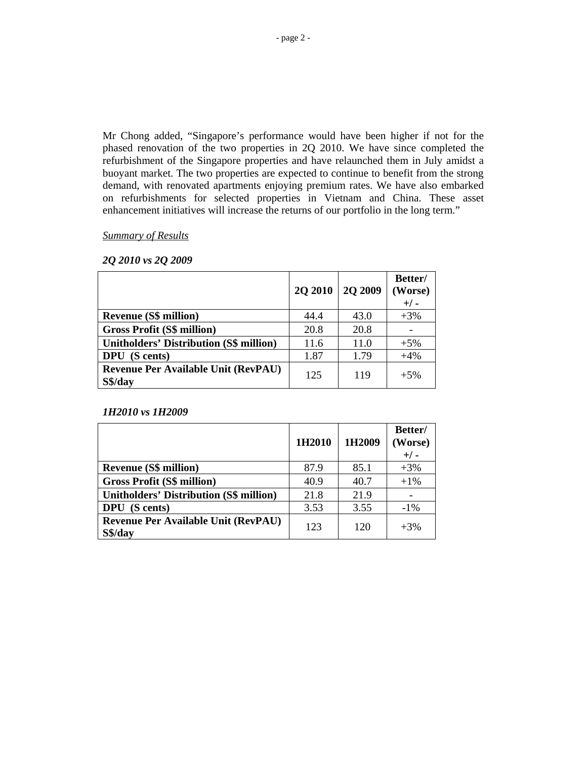Mr Chong added, "Singapore's performance would have been higher if not for the phased renovation of the two properties in 2Q 2010. We have since completed the refurbishment of the Singapore properties and have relaunched them in July amidst a buoyant market. The two properties are expected to continue to benefit from the strong demand, with renovated apartments enjoying premium rates. We have also embarked on refurbishments for selected properties in Vietnam and China. These asset enhancement initiatives will increase the returns of our portfolio in the long term."

*Summary of Results*

|                                                       | 2Q 2010 | <b>2Q 2009</b> | Better/<br>(Worse)<br>$+/-$ |
|-------------------------------------------------------|---------|----------------|-----------------------------|
| <b>Revenue (S\$ million)</b>                          | 44.4    | 43.0           | $+3%$                       |
| <b>Gross Profit (S\$ million)</b>                     | 20.8    | 20.8           |                             |
| <b>Unitholders' Distribution (S\$ million)</b>        | 11.6    | 11.0           | $+5%$                       |
| DPU (S cents)                                         | 1.87    | 1.79           | $+4%$                       |
| <b>Revenue Per Available Unit (RevPAU)</b><br>S\$/day | 125     | 119            | $+5%$                       |

## *2Q 2010 vs 2Q 2009*

### *1H2010 vs 1H2009*

|                                                       | 1H2010 | 1H2009 | Better/<br>(Worse)<br>$+/-$ |
|-------------------------------------------------------|--------|--------|-----------------------------|
| <b>Revenue (S\$ million)</b>                          | 87.9   | 85.1   | $+3%$                       |
| <b>Gross Profit (S\$ million)</b>                     | 40.9   | 40.7   | $+1\%$                      |
| <b>Unitholders' Distribution (S\$ million)</b>        | 21.8   | 21.9   |                             |
| <b>DPU</b> (S cents)                                  | 3.53   | 3.55   | $-1\%$                      |
| <b>Revenue Per Available Unit (RevPAU)</b><br>S\$/day | 123    | 120    | $+3\%$                      |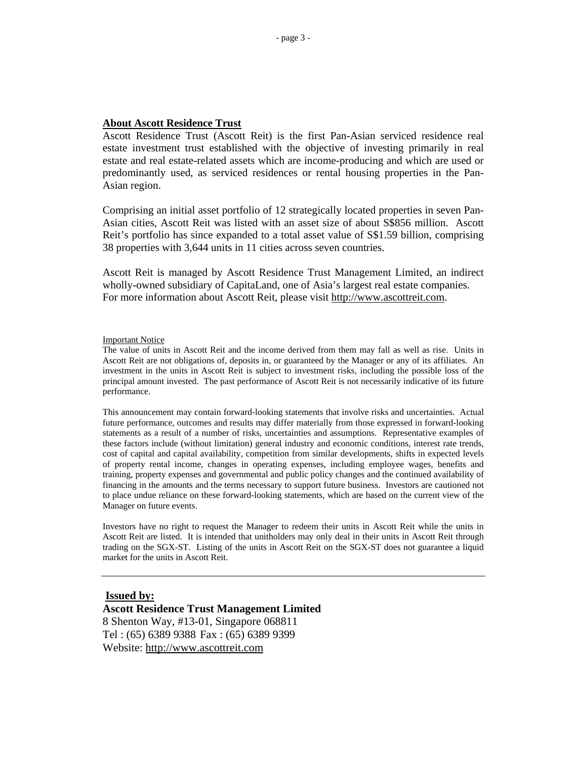#### **About Ascott Residence Trust**

Ascott Residence Trust (Ascott Reit) is the first Pan-Asian serviced residence real estate investment trust established with the objective of investing primarily in real estate and real estate-related assets which are income-producing and which are used or predominantly used, as serviced residences or rental housing properties in the Pan-Asian region.

Comprising an initial asset portfolio of 12 strategically located properties in seven Pan-Asian cities, Ascott Reit was listed with an asset size of about S\$856 million. Ascott Reit's portfolio has since expanded to a total asset value of S\$1.59 billion, comprising 38 properties with 3,644 units in 11 cities across seven countries.

Ascott Reit is managed by Ascott Residence Trust Management Limited, an indirect wholly-owned subsidiary of CapitaLand, one of Asia's largest real estate companies. For more information about Ascott Reit, please visit http://www.ascottreit.com.

#### Important Notice

The value of units in Ascott Reit and the income derived from them may fall as well as rise. Units in Ascott Reit are not obligations of, deposits in, or guaranteed by the Manager or any of its affiliates. An investment in the units in Ascott Reit is subject to investment risks, including the possible loss of the principal amount invested. The past performance of Ascott Reit is not necessarily indicative of its future performance.

This announcement may contain forward-looking statements that involve risks and uncertainties. Actual future performance, outcomes and results may differ materially from those expressed in forward-looking statements as a result of a number of risks, uncertainties and assumptions. Representative examples of these factors include (without limitation) general industry and economic conditions, interest rate trends, cost of capital and capital availability, competition from similar developments, shifts in expected levels of property rental income, changes in operating expenses, including employee wages, benefits and training, property expenses and governmental and public policy changes and the continued availability of financing in the amounts and the terms necessary to support future business. Investors are cautioned not to place undue reliance on these forward-looking statements, which are based on the current view of the Manager on future events.

Investors have no right to request the Manager to redeem their units in Ascott Reit while the units in Ascott Reit are listed. It is intended that unitholders may only deal in their units in Ascott Reit through trading on the SGX-ST. Listing of the units in Ascott Reit on the SGX-ST does not guarantee a liquid market for the units in Ascott Reit.

### **Issued by:**

**Ascott Residence Trust Management Limited**  8 Shenton Way, #13-01, Singapore 068811 Tel : (65) 6389 9388 Fax : (65) 6389 9399 Website: http://www.ascottreit.com